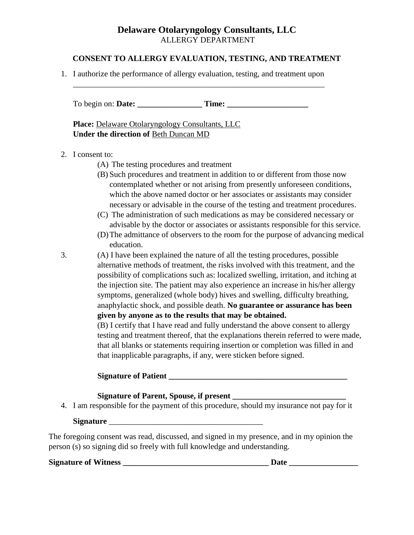### **CONSENT TO ALLERGY EVALUATION, TESTING, AND TREATMENT**

1. I authorize the performance of allergy evaluation, testing, and treatment upon

\_\_\_\_\_\_\_\_\_\_\_\_\_\_\_\_\_\_\_\_\_\_\_\_\_\_\_\_\_\_\_\_\_\_\_\_\_\_\_\_\_\_\_\_\_\_\_\_\_\_\_\_\_\_\_\_\_\_\_\_\_\_

To begin on: **Date:** Time:

**Place:** Delaware Otolaryngology Consultants, LLC **Under the direction of** Beth Duncan MD

### 2. I consent to:

- (A) The testing procedures and treatment
- (B) Such procedures and treatment in addition to or different from those now contemplated whether or not arising from presently unforeseen conditions, which the above named doctor or her associates or assistants may consider necessary or advisable in the course of the testing and treatment procedures.
- (C) The administration of such medications as may be considered necessary or advisable by the doctor or associates or assistants responsible for this service.
- (D)The admittance of observers to the room for the purpose of advancing medical education.
- 3. (A) I have been explained the nature of all the testing procedures, possible alternative methods of treatment, the risks involved with this treatment, and the possibility of complications such as: localized swelling, irritation, and itching at the injection site. The patient may also experience an increase in his/her allergy symptoms, generalized (whole body) hives and swelling, difficulty breathing, anaphylactic shock, and possible death. **No guarantee or assurance has been given by anyone as to the results that may be obtained.**

(B) I certify that I have read and fully understand the above consent to allergy testing and treatment thereof, that the explanations therein referred to were made, that all blanks or statements requiring insertion or completion was filled in and that inapplicable paragraphs, if any, were sticken before signed.

| <b>Signature of Patient</b>                                                               |
|-------------------------------------------------------------------------------------------|
| Signature of Parent, Spouse, if present                                                   |
| 4. I am responsible for the payment of this procedure, should my insurance not pay for it |

### **Signature** \_\_\_\_\_\_\_\_\_\_\_\_\_\_\_\_\_\_\_\_\_\_\_\_\_\_\_\_\_\_\_\_\_\_\_\_\_\_

The foregoing consent was read, discussed, and signed in my presence, and in my opinion the person (s) so signing did so freely with full knowledge and understanding.

**Signature of Witness \_\_\_\_\_\_\_\_\_\_\_\_\_\_\_\_\_\_\_\_\_\_\_\_\_\_\_\_\_\_\_\_\_\_\_\_ Date \_\_\_\_\_\_\_\_\_\_\_\_\_\_\_\_\_**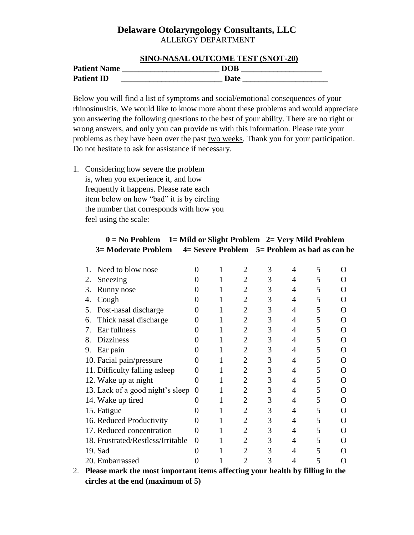|                     | <b>SINO-NASAL OUTCOME TEST (SNOT-20)</b> |
|---------------------|------------------------------------------|
| <b>Patient Name</b> | <b>DOB</b>                               |
| <b>Patient ID</b>   | Date                                     |

Below you will find a list of symptoms and social/emotional consequences of your rhinosinusitis. We would like to know more about these problems and would appreciate you answering the following questions to the best of your ability. There are no right or wrong answers, and only you can provide us with this information. Please rate your problems as they have been over the past two weeks. Thank you for your participation. Do not hesitate to ask for assistance if necessary.

1. Considering how severe the problem is, when you experience it, and how frequently it happens. Please rate each item below on how "bad" it is by circling the number that corresponds with how you feel using the scale:

| Need to blow nose                 |                   |  | 2 | 3 |   | 5 |                                   |
|-----------------------------------|-------------------|--|---|---|---|---|-----------------------------------|
| Sneezing<br>2.                    |                   |  | 2 | 3 | 4 | 5 |                                   |
| 3.<br>Runny nose                  |                   |  | 2 | 3 | 4 | 5 |                                   |
| Cough<br>4.                       |                   |  | 2 | 3 | 4 | 5 | ( )                               |
| Post-nasal discharge<br>5.        |                   |  | 2 | 3 |   | 5 | ( )                               |
| Thick nasal discharge<br>6.       |                   |  | 2 | 3 | 4 | 5 | $\left( \ \right)$                |
| Ear fullness<br>7.                |                   |  | 2 | 3 | 4 | 5 | ( )                               |
| <b>Dizziness</b><br>8.            |                   |  | 2 | 3 | 4 | 5 | $\left( \ \right)$                |
| Ear pain<br>9.                    |                   |  | 2 | 3 | 4 | 5 | $\left( \ \right)$                |
| 10. Facial pain/pressure          |                   |  | 2 | 3 | 4 | 5 | $\scriptstyle\rm\scriptstyle{()}$ |
| 11. Difficulty falling asleep     |                   |  | 2 | 3 | 4 | 5 | $\left( \ \right)$                |
| 12. Wake up at night              | 0                 |  | 2 | 3 | 4 | 5 | ( )                               |
| 13. Lack of a good night's sleep  |                   |  | 2 | 3 | 4 | 5 | $\left( \right)$                  |
| 14. Wake up tired                 | $\mathbf{\Omega}$ |  | 2 | 3 | 4 | 5 | $\left( \ \right)$                |
| 15. Fatigue                       |                   |  | 2 | 3 | 4 | 5 |                                   |
| 16. Reduced Productivity          | $\mathbf{\Omega}$ |  |   | 3 | 4 | 5 | ( )                               |
| 17. Reduced concentration         | 0                 |  |   | 3 | 4 | 5 |                                   |
| 18. Frustrated/Restless/Irritable | 0                 |  | 2 | 3 | 4 | 5 | ( )                               |
| 19. Sad                           | 0                 |  | 2 | 3 |   | 5 |                                   |
| 20. Embarrassed                   |                   |  | 2 | 3 |   | 5 |                                   |
| rе<br>ጮ11∙<br>'nі<br>. 1 . 1      |                   |  |   |   |   |   |                                   |

### **0 = No Problem 1= Mild or Slight Problem 2= Very Mild Problem 3= Moderate Problem 4= Severe Problem 5= Problem as bad as can be**

2. **Please mark the most important items affecting your health by filling in the circles at the end (maximum of 5)**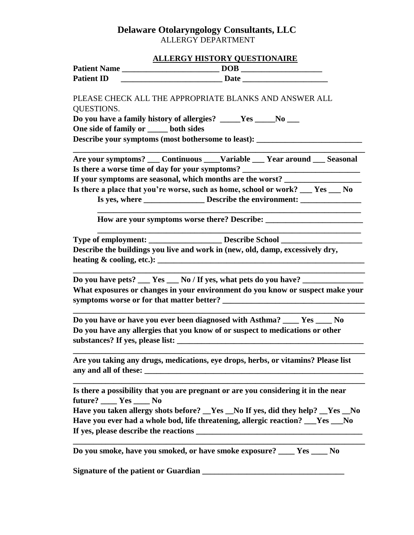# **ALLERGY HISTORY QUESTIONAIRE**

|                                         | <u>REBERG HIDTONT QUEDITORMENT</u>                                                                                                                                                                                                                   |  |  |
|-----------------------------------------|------------------------------------------------------------------------------------------------------------------------------------------------------------------------------------------------------------------------------------------------------|--|--|
|                                         |                                                                                                                                                                                                                                                      |  |  |
| <b>Patient ID</b>                       |                                                                                                                                                                                                                                                      |  |  |
| QUESTIONS.                              | PLEASE CHECK ALL THE APPROPRIATE BLANKS AND ANSWER ALL<br>Do you have a family history of allergies? ____Yes ____No __<br>One side of family or _____ both sides<br>Describe your symptoms (most bothersome to least): _____________________________ |  |  |
|                                         |                                                                                                                                                                                                                                                      |  |  |
|                                         | Are your symptoms? ___ Continuous ____Variable ___ Year around ___ Seasonal                                                                                                                                                                          |  |  |
|                                         | Is there a worse time of day for your symptoms? ________________________________                                                                                                                                                                     |  |  |
|                                         | If your symptoms are seasonal, which months are the worst? __________                                                                                                                                                                                |  |  |
|                                         | Is there a place that you're worse, such as home, school or work? ___ Yes ___ No                                                                                                                                                                     |  |  |
|                                         |                                                                                                                                                                                                                                                      |  |  |
|                                         |                                                                                                                                                                                                                                                      |  |  |
|                                         | Type of employment: ____________________ Describe School _______________________                                                                                                                                                                     |  |  |
|                                         | Describe the buildings you live and work in (new, old, damp, excessively dry,                                                                                                                                                                        |  |  |
|                                         |                                                                                                                                                                                                                                                      |  |  |
|                                         |                                                                                                                                                                                                                                                      |  |  |
|                                         | Do you have pets? ___ Yes ___ No / If yes, what pets do you have? ___                                                                                                                                                                                |  |  |
|                                         | What exposures or changes in your environment do you know or suspect make your                                                                                                                                                                       |  |  |
|                                         |                                                                                                                                                                                                                                                      |  |  |
|                                         |                                                                                                                                                                                                                                                      |  |  |
|                                         | Do you have or have you ever been diagnosed with Asthma? ____ Yes ____ No                                                                                                                                                                            |  |  |
|                                         | Do you have any allergies that you know of or suspect to medications or other                                                                                                                                                                        |  |  |
|                                         |                                                                                                                                                                                                                                                      |  |  |
|                                         |                                                                                                                                                                                                                                                      |  |  |
|                                         | Are you taking any drugs, medications, eye drops, herbs, or vitamins? Please list                                                                                                                                                                    |  |  |
|                                         | Is there a possibility that you are pregnant or are you considering it in the near                                                                                                                                                                   |  |  |
| future? ____ Yes ____ No                |                                                                                                                                                                                                                                                      |  |  |
|                                         | Have you taken allergy shots before? _Yes _No If yes, did they help? _Yes _No                                                                                                                                                                        |  |  |
|                                         | Have you ever had a whole bod, life threatening, allergic reaction? ___Yes ___No                                                                                                                                                                     |  |  |
| If yes, please describe the reactions _ |                                                                                                                                                                                                                                                      |  |  |
|                                         | Do you smoke, have you smoked, or have smoke exposure? ____ Yes ____ No                                                                                                                                                                              |  |  |
|                                         |                                                                                                                                                                                                                                                      |  |  |
|                                         |                                                                                                                                                                                                                                                      |  |  |

**Signature of the patient or Guardian \_\_\_\_\_\_\_\_\_\_\_\_\_\_\_\_\_\_\_\_\_\_\_\_\_\_\_\_\_\_\_\_\_\_\_**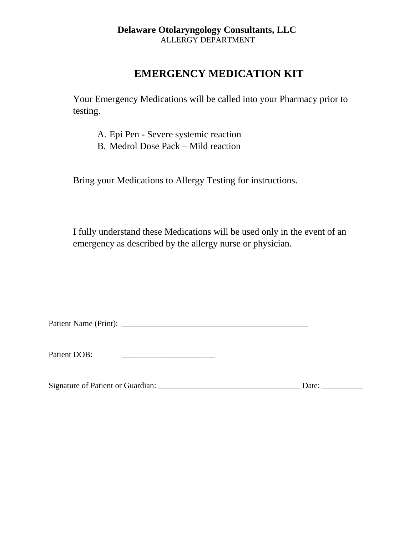# **EMERGENCY MEDICATION KIT**

Your Emergency Medications will be called into your Pharmacy prior to testing.

- A. Epi Pen Severe systemic reaction
- B. Medrol Dose Pack Mild reaction

Bring your Medications to Allergy Testing for instructions.

I fully understand these Medications will be used only in the event of an emergency as described by the allergy nurse or physician.

Patient Name (Print): \_\_\_\_\_\_\_\_\_\_\_\_\_\_\_\_\_\_\_\_\_\_\_\_\_\_\_\_\_\_\_\_\_\_\_\_\_\_\_\_\_\_\_\_\_\_

Patient DOB: \_\_\_\_\_\_\_\_\_\_\_\_\_\_\_\_\_\_\_\_\_\_\_

Signature of Patient or Guardian: \_\_\_\_\_\_\_\_\_\_\_\_\_\_\_\_\_\_\_\_\_\_\_\_\_\_\_\_\_\_\_\_\_\_\_ Date: \_\_\_\_\_\_\_\_\_\_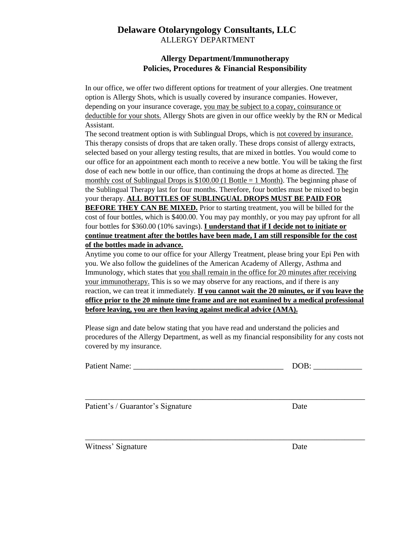### **Allergy Department/Immunotherapy Policies, Procedures & Financial Responsibility**

In our office, we offer two different options for treatment of your allergies. One treatment option is Allergy Shots, which is usually covered by insurance companies. However, depending on your insurance coverage, you may be subject to a copay, coinsurance or deductible for your shots. Allergy Shots are given in our office weekly by the RN or Medical Assistant.

The second treatment option is with Sublingual Drops, which is not covered by insurance. This therapy consists of drops that are taken orally. These drops consist of allergy extracts, selected based on your allergy testing results, that are mixed in bottles. You would come to our office for an appointment each month to receive a new bottle. You will be taking the first dose of each new bottle in our office, than continuing the drops at home as directed. The monthly cost of Sublingual Drops is  $$100.00$  (1 Bottle = 1 Month). The beginning phase of the Sublingual Therapy last for four months. Therefore, four bottles must be mixed to begin your therapy. **ALL BOTTLES OF SUBLINGUAL DROPS MUST BE PAID FOR BEFORE THEY CAN BE MIXED.** Prior to starting treatment, you will be billed for the cost of four bottles, which is \$400.00. You may pay monthly, or you may pay upfront for all four bottles for \$360.00 (10% savings). **I understand that if I decide not to initiate or continue treatment after the bottles have been made, I am still responsible for the cost of the bottles made in advance.**

Anytime you come to our office for your Allergy Treatment, please bring your Epi Pen with you. We also follow the guidelines of the American Academy of Allergy, Asthma and Immunology, which states that you shall remain in the office for 20 minutes after receiving your immunotherapy. This is so we may observe for any reactions, and if there is any reaction, we can treat it immediately. **If you cannot wait the 20 minutes, or if you leave the office prior to the 20 minute time frame and are not examined by a medical professional before leaving, you are then leaving against medical advice (AMA).**

Please sign and date below stating that you have read and understand the policies and procedures of the Allergy Department, as well as my financial responsibility for any costs not covered by my insurance.

| <b>Patient Name:</b> | $\cap$ R.<br>M |
|----------------------|----------------|
|----------------------|----------------|

\_\_\_\_\_\_\_\_\_\_\_\_\_\_\_\_\_\_\_\_\_\_\_\_\_\_\_\_\_\_\_\_\_\_\_\_\_\_\_\_\_\_\_\_\_\_\_\_\_\_\_\_\_\_\_\_\_\_\_\_\_\_\_\_\_\_\_\_\_

\_\_\_\_\_\_\_\_\_\_\_\_\_\_\_\_\_\_\_\_\_\_\_\_\_\_\_\_\_\_\_\_\_\_\_\_\_\_\_\_\_\_\_\_\_\_\_\_\_\_\_\_\_\_\_\_\_\_\_\_\_\_\_\_\_\_\_\_\_

Patient's / Guarantor's Signature Date

Witness' Signature Date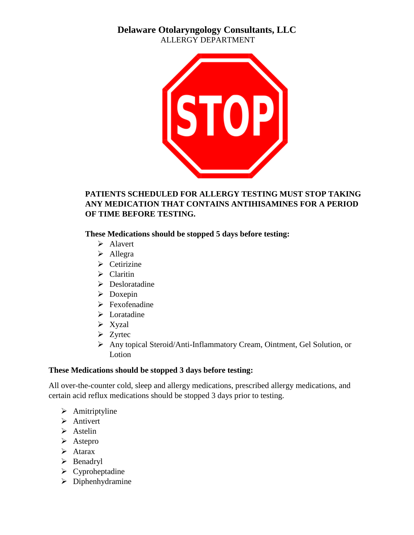

# **PATIENTS SCHEDULED FOR ALLERGY TESTING MUST STOP TAKING ANY MEDICATION THAT CONTAINS ANTIHISAMINES FOR A PERIOD OF TIME BEFORE TESTING.**

**These Medications should be stopped 5 days before testing:**

- $\triangleright$  Alavert
- $\blacktriangleright$  Allegra
- $\triangleright$  Cetirizine
- $\triangleright$  Claritin
- $\triangleright$  Desloratadine
- $\triangleright$  Doxepin
- > Fexofenadine
- $\triangleright$  Loratadine
- $\triangleright$  Xyzal
- $\triangleright$  Zyrtec
- Any topical Steroid/Anti-Inflammatory Cream, Ointment, Gel Solution, or **Lotion**

# **These Medications should be stopped 3 days before testing:**

All over-the-counter cold, sleep and allergy medications, prescribed allergy medications, and certain acid reflux medications should be stopped 3 days prior to testing.

- $\triangleright$  Amitriptyline
- > Antivert
- $\triangleright$  Astelin
- $\triangleright$  Astepro
- $\triangleright$  Atarax
- $\triangleright$  Benadryl
- $\triangleright$  Cyproheptadine
- $\triangleright$  Diphenhydramine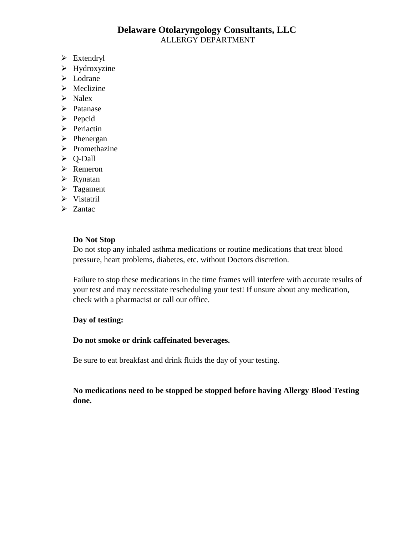- $\triangleright$  Extendryl
- $\blacktriangleright$  Hydroxyzine
- > Lodrane
- $\triangleright$  Meclizine
- $\triangleright$  Nalex
- > Patanase
- $\triangleright$  Pepcid
- $\triangleright$  Periactin
- $\triangleright$  Phenergan
- $\triangleright$  Promethazine
- Q-Dall
- $\triangleright$  Remeron
- $\triangleright$  Rynatan
- $\triangleright$  Tagament
- Vistatril
- $\geq$  Zantac

#### **Do Not Stop**

Do not stop any inhaled asthma medications or routine medications that treat blood pressure, heart problems, diabetes, etc. without Doctors discretion.

Failure to stop these medications in the time frames will interfere with accurate results of your test and may necessitate rescheduling your test! If unsure about any medication, check with a pharmacist or call our office.

#### **Day of testing:**

#### **Do not smoke or drink caffeinated beverages.**

Be sure to eat breakfast and drink fluids the day of your testing.

**No medications need to be stopped be stopped before having Allergy Blood Testing done.**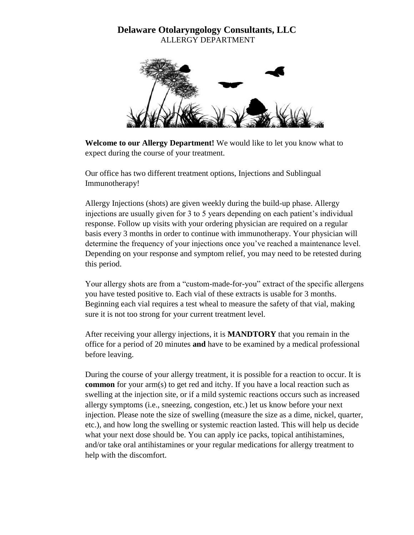

**Welcome to our Allergy Department!** We would like to let you know what to expect during the course of your treatment.

Our office has two different treatment options, Injections and Sublingual Immunotherapy!

Allergy Injections (shots) are given weekly during the build-up phase. Allergy injections are usually given for 3 to 5 years depending on each patient's individual response. Follow up visits with your ordering physician are required on a regular basis every 3 months in order to continue with immunotherapy. Your physician will determine the frequency of your injections once you've reached a maintenance level. Depending on your response and symptom relief, you may need to be retested during this period.

Your allergy shots are from a "custom-made-for-you" extract of the specific allergens you have tested positive to. Each vial of these extracts is usable for 3 months. Beginning each vial requires a test wheal to measure the safety of that vial, making sure it is not too strong for your current treatment level.

After receiving your allergy injections, it is **MANDTORY** that you remain in the office for a period of 20 minutes **and** have to be examined by a medical professional before leaving.

During the course of your allergy treatment, it is possible for a reaction to occur. It is **common** for your arm(s) to get red and itchy. If you have a local reaction such as swelling at the injection site, or if a mild systemic reactions occurs such as increased allergy symptoms (i.e., sneezing, congestion, etc.) let us know before your next injection. Please note the size of swelling (measure the size as a dime, nickel, quarter, etc.), and how long the swelling or systemic reaction lasted. This will help us decide what your next dose should be. You can apply ice packs, topical antihistamines, and/or take oral antihistamines or your regular medications for allergy treatment to help with the discomfort.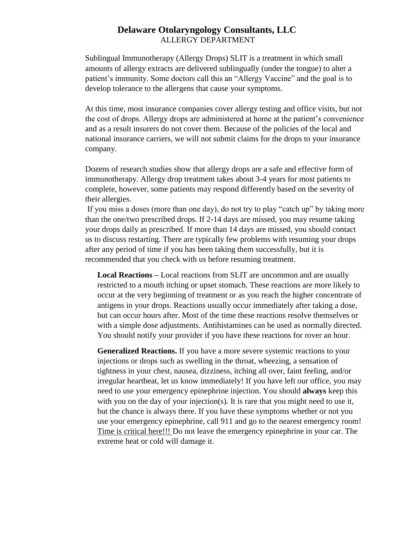Sublingual Immunotherapy (Allergy Drops) SLIT is a treatment in which small amounts of allergy extracts are delivered sublingually (under the tongue) to alter a patient's immunity. Some doctors call this an "Allergy Vaccine" and the goal is to develop tolerance to the allergens that cause your symptoms.

At this time, most insurance companies cover allergy testing and office visits, but not the cost of drops. Allergy drops are administered at home at the patient's convenience and as a result insurers do not cover them. Because of the policies of the local and national insurance carriers, we will not submit claims for the drops to your insurance company.

Dozens of research studies show that allergy drops are a safe and effective form of immunotherapy. Allergy drop treatment takes about 3-4 years for most patients to complete, however, some patients may respond differently based on the severity of their allergies.

If you miss a doses (more than one day), do not try to play "catch up" by taking more than the one/two prescribed drops. If 2-14 days are missed, you may resume taking your drops daily as prescribed. If more than 14 days are missed, you should contact us to discuss restarting. There are typically few problems with resuming your drops after any period of time if you has been taking them successfully, but it is recommended that you check with us before resuming treatment.

**Local Reactions –** Local reactions from SLIT are uncommon and are usually restricted to a mouth itching or upset stomach. These reactions are more likely to occur at the very beginning of treatment or as you reach the higher concentrate of antigens in your drops. Reactions usually occur immediately after taking a dose, but can occur hours after. Most of the time these reactions resolve themselves or with a simple dose adjustments. Antihistamines can be used as normally directed. You should notify your provider if you have these reactions for rover an hour.

**Generalized Reactions.** If you have a more severe systemic reactions to your injections or drops such as swelling in the throat, wheezing, a sensation of tightness in your chest, nausea, dizziness, itching all over, faint feeling, and/or irregular heartbeat, let us know immediately! If you have left our office, you may need to use your emergency epinephrine injection. You should **always** keep this with you on the day of your injection(s). It is rare that you might need to use it, but the chance is always there. If you have these symptoms whether or not you use your emergency epinephrine, call 911 and go to the nearest emergency room! Time is critical here!!! Do not leave the emergency epinephrine in your car. The extreme heat or cold will damage it.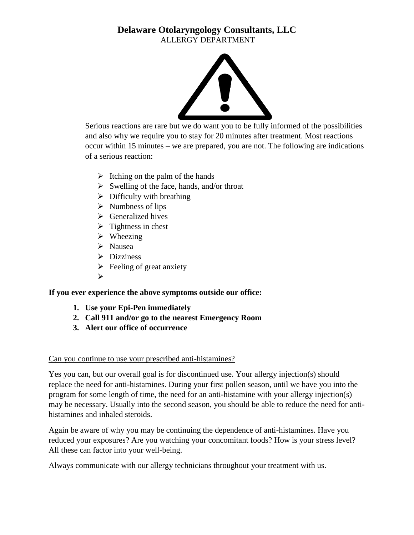

Serious reactions are rare but we do want you to be fully informed of the possibilities and also why we require you to stay for 20 minutes after treatment. Most reactions occur within 15 minutes – we are prepared, you are not. The following are indications of a serious reaction:

- $\triangleright$  Itching on the palm of the hands
- $\triangleright$  Swelling of the face, hands, and/or throat
- $\triangleright$  Difficulty with breathing
- $\triangleright$  Numbness of lips
- $\triangleright$  Generalized hives
- $\triangleright$  Tightness in chest
- $\triangleright$  Wheezing
- $\triangleright$  Nausea
- $\triangleright$  Dizziness
- $\triangleright$  Feeling of great anxiety
- $\blacktriangleright$

**If you ever experience the above symptoms outside our office:**

- **1. Use your Epi-Pen immediately**
- **2. Call 911 and/or go to the nearest Emergency Room**
- **3. Alert our office of occurrence**

### Can you continue to use your prescribed anti-histamines?

Yes you can, but our overall goal is for discontinued use. Your allergy injection(s) should replace the need for anti-histamines. During your first pollen season, until we have you into the program for some length of time, the need for an anti-histamine with your allergy injection(s) may be necessary. Usually into the second season, you should be able to reduce the need for antihistamines and inhaled steroids.

Again be aware of why you may be continuing the dependence of anti-histamines. Have you reduced your exposures? Are you watching your concomitant foods? How is your stress level? All these can factor into your well-being.

Always communicate with our allergy technicians throughout your treatment with us.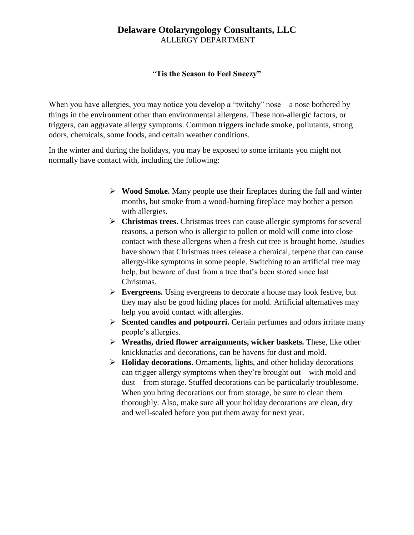### "**Tis the Season to Feel Sneezy"**

When you have allergies, you may notice you develop a "twitchy" nose – a nose bothered by things in the environment other than environmental allergens. These non-allergic factors, or triggers, can aggravate allergy symptoms. Common triggers include smoke, pollutants, strong odors, chemicals, some foods, and certain weather conditions.

In the winter and during the holidays, you may be exposed to some irritants you might not normally have contact with, including the following:

- **Wood Smoke.** Many people use their fireplaces during the fall and winter months, but smoke from a wood-burning fireplace may bother a person with allergies.
- **Christmas trees.** Christmas trees can cause allergic symptoms for several reasons, a person who is allergic to pollen or mold will come into close contact with these allergens when a fresh cut tree is brought home. /studies have shown that Christmas trees release a chemical, terpene that can cause allergy-like symptoms in some people. Switching to an artificial tree may help, but beware of dust from a tree that's been stored since last Christmas.
- **Evergreens.** Using evergreens to decorate a house may look festive, but they may also be good hiding places for mold. Artificial alternatives may help you avoid contact with allergies.
- **Scented candles and potpourri.** Certain perfumes and odors irritate many people's allergies.
- **Wreaths, dried flower arraignments, wicker baskets.** These, like other knickknacks and decorations, can be havens for dust and mold.
- $\triangleright$  **Holiday decorations.** Ornaments, lights, and other holiday decorations can trigger allergy symptoms when they're brought out – with mold and dust – from storage. Stuffed decorations can be particularly troublesome. When you bring decorations out from storage, be sure to clean them thoroughly. Also, make sure all your holiday decorations are clean, dry and well-sealed before you put them away for next year.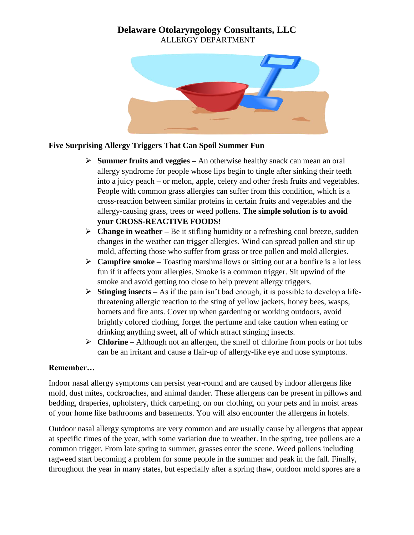

# **Five Surprising Allergy Triggers That Can Spoil Summer Fun**

- **Summer fruits and veggies –** An otherwise healthy snack can mean an oral allergy syndrome for people whose lips begin to tingle after sinking their teeth into a juicy peach – or melon, apple, celery and other fresh fruits and vegetables. People with common grass allergies can suffer from this condition, which is a cross-reaction between similar proteins in certain fruits and vegetables and the allergy-causing grass, trees or weed pollens. **The simple solution is to avoid your CROSS-REACTIVE FOODS!**
- **Change in weather –** Be it stifling humidity or a refreshing cool breeze, sudden changes in the weather can trigger allergies. Wind can spread pollen and stir up mold, affecting those who suffer from grass or tree pollen and mold allergies.
- **Campfire smoke –** Toasting marshmallows or sitting out at a bonfire is a lot less fun if it affects your allergies. Smoke is a common trigger. Sit upwind of the smoke and avoid getting too close to help prevent allergy triggers.
- **►** Stinging insects As if the pain isn't bad enough, it is possible to develop a lifethreatening allergic reaction to the sting of yellow jackets, honey bees, wasps, hornets and fire ants. Cover up when gardening or working outdoors, avoid brightly colored clothing, forget the perfume and take caution when eating or drinking anything sweet, all of which attract stinging insects.
- **Chlorine –** Although not an allergen, the smell of chlorine from pools or hot tubs can be an irritant and cause a flair-up of allergy-like eye and nose symptoms.

### **Remember…**

Indoor nasal allergy symptoms can persist year-round and are caused by indoor allergens like mold, dust mites, cockroaches, and animal dander. These allergens can be present in pillows and bedding, draperies, upholstery, thick carpeting, on our clothing, on your pets and in moist areas of your home like bathrooms and basements. You will also encounter the allergens in hotels.

Outdoor nasal allergy symptoms are very common and are usually cause by allergens that appear at specific times of the year, with some variation due to weather. In the spring, tree pollens are a common trigger. From late spring to summer, grasses enter the scene. Weed pollens including ragweed start becoming a problem for some people in the summer and peak in the fall. Finally, throughout the year in many states, but especially after a spring thaw, outdoor mold spores are a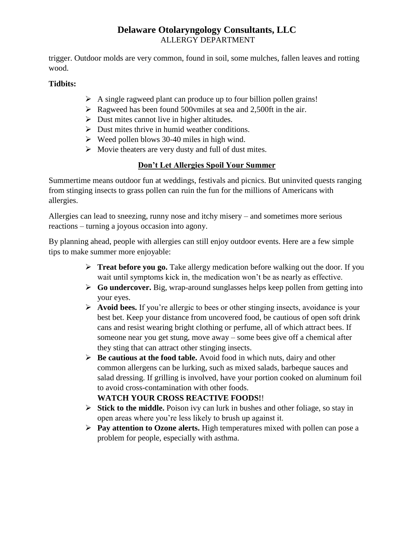trigger. Outdoor molds are very common, found in soil, some mulches, fallen leaves and rotting wood.

# **Tidbits:**

- $\triangleright$  A single ragweed plant can produce up to four billion pollen grains!
- $\triangleright$  Ragweed has been found 500 vmiles at sea and 2,500 ft in the air.
- $\triangleright$  Dust mites cannot live in higher altitudes.
- $\triangleright$  Dust mites thrive in humid weather conditions.
- $\triangleright$  Weed pollen blows 30-40 miles in high wind.
- $\triangleright$  Movie theaters are very dusty and full of dust mites.

# **Don't Let Allergies Spoil Your Summer**

Summertime means outdoor fun at weddings, festivals and picnics. But uninvited quests ranging from stinging insects to grass pollen can ruin the fun for the millions of Americans with allergies.

Allergies can lead to sneezing, runny nose and itchy misery – and sometimes more serious reactions – turning a joyous occasion into agony.

By planning ahead, people with allergies can still enjoy outdoor events. Here are a few simple tips to make summer more enjoyable:

- **Treat before you go.** Take allergy medication before walking out the door. If you wait until symptoms kick in, the medication won't be as nearly as effective.
- **Go undercover.** Big, wrap-around sunglasses helps keep pollen from getting into your eyes.
- **Avoid bees.** If you're allergic to bees or other stinging insects, avoidance is your best bet. Keep your distance from uncovered food, be cautious of open soft drink cans and resist wearing bright clothing or perfume, all of which attract bees. If someone near you get stung, move away – some bees give off a chemical after they sting that can attract other stinging insects.
- **Be cautious at the food table.** Avoid food in which nuts, dairy and other common allergens can be lurking, such as mixed salads, barbeque sauces and salad dressing. If grilling is involved, have your portion cooked on aluminum foil to avoid cross-contamination with other foods.

# **WATCH YOUR CROSS REACTIVE FOODS!**!

- **Stick to the middle.** Poison ivy can lurk in bushes and other foliage, so stay in open areas where you're less likely to brush up against it.
- **Pay attention to Ozone alerts.** High temperatures mixed with pollen can pose a problem for people, especially with asthma.